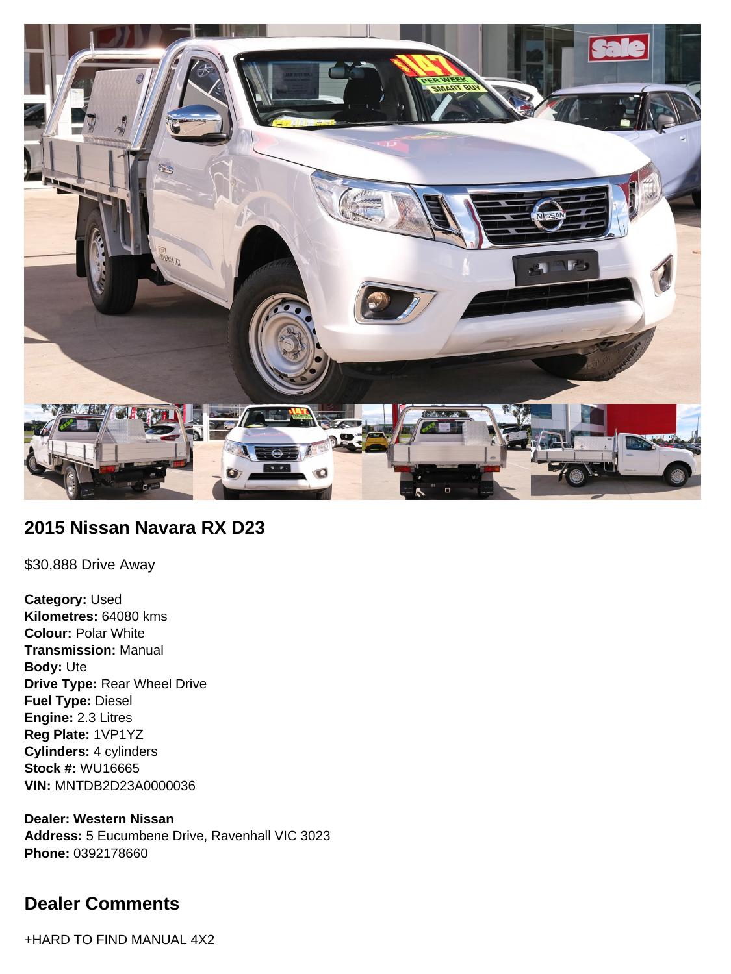

## **2015 Nissan Navara RX D23**

\$30,888 Drive Away

**Category:** Used **Kilometres:** 64080 kms **Colour:** Polar White **Transmission:** Manual **Body:** Ute **Drive Type:** Rear Wheel Drive **Fuel Type:** Diesel **Engine:** 2.3 Litres **Reg Plate:** 1VP1YZ **Cylinders:** 4 cylinders **Stock #:** WU16665 **VIN:** MNTDB2D23A0000036

**Dealer: Western Nissan Address:** 5 Eucumbene Drive, Ravenhall VIC 3023 **Phone:** 0392178660

# **Dealer Comments**

+HARD TO FIND MANUAL 4X2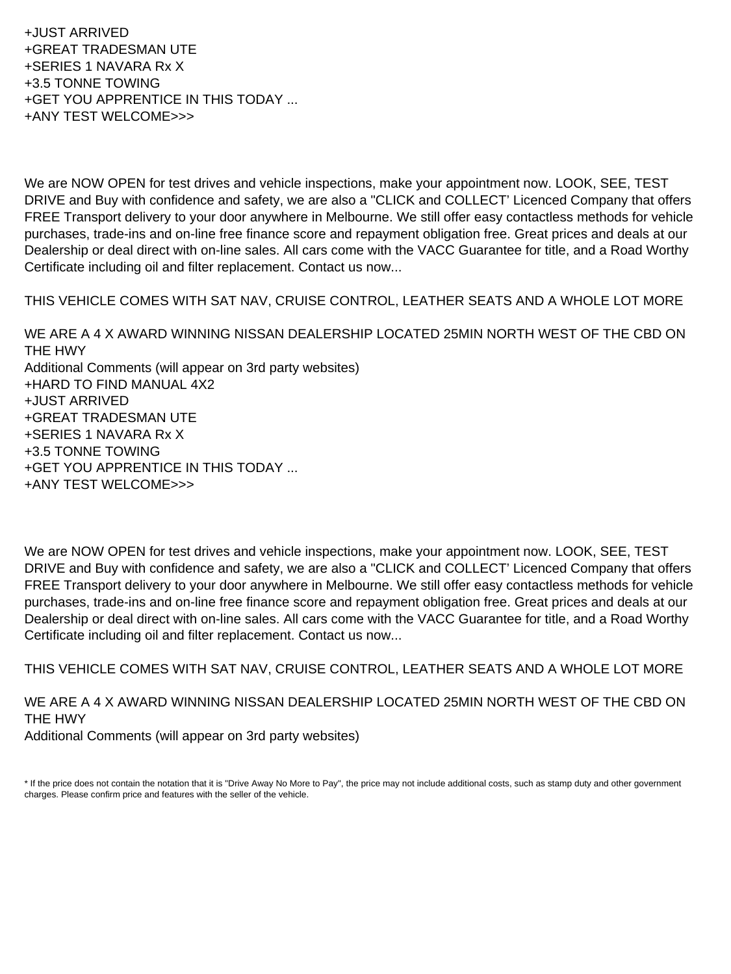+JUST ARRIVED +GREAT TRADESMAN UTE +SERIES 1 NAVARA Rx X +3.5 TONNE TOWING +GET YOU APPRENTICE IN THIS TODAY ... +ANY TEST WELCOME>>>

We are NOW OPEN for test drives and vehicle inspections, make your appointment now. LOOK, SEE, TEST DRIVE and Buy with confidence and safety, we are also a "CLICK and COLLECT' Licenced Company that offers FREE Transport delivery to your door anywhere in Melbourne. We still offer easy contactless methods for vehicle purchases, trade-ins and on-line free finance score and repayment obligation free. Great prices and deals at our Dealership or deal direct with on-line sales. All cars come with the VACC Guarantee for title, and a Road Worthy Certificate including oil and filter replacement. Contact us now...

THIS VEHICLE COMES WITH SAT NAV, CRUISE CONTROL, LEATHER SEATS AND A WHOLE LOT MORE

WE ARE A 4 X AWARD WINNING NISSAN DEALERSHIP LOCATED 25MIN NORTH WEST OF THE CBD ON THE HWY Additional Comments (will appear on 3rd party websites) +HARD TO FIND MANUAL 4X2 +JUST ARRIVED +GREAT TRADESMAN UTE +SERIES 1 NAVARA Rx X +3.5 TONNE TOWING +GET YOU APPRENTICE IN THIS TODAY ... +ANY TEST WELCOME>>>

We are NOW OPEN for test drives and vehicle inspections, make your appointment now. LOOK, SEE, TEST DRIVE and Buy with confidence and safety, we are also a "CLICK and COLLECT' Licenced Company that offers FREE Transport delivery to your door anywhere in Melbourne. We still offer easy contactless methods for vehicle purchases, trade-ins and on-line free finance score and repayment obligation free. Great prices and deals at our Dealership or deal direct with on-line sales. All cars come with the VACC Guarantee for title, and a Road Worthy Certificate including oil and filter replacement. Contact us now...

THIS VEHICLE COMES WITH SAT NAV, CRUISE CONTROL, LEATHER SEATS AND A WHOLE LOT MORE

WE ARE A 4 X AWARD WINNING NISSAN DEALERSHIP LOCATED 25MIN NORTH WEST OF THE CBD ON THE HWY Additional Comments (will appear on 3rd party websites)

\* If the price does not contain the notation that it is "Drive Away No More to Pay", the price may not include additional costs, such as stamp duty and other government charges. Please confirm price and features with the seller of the vehicle.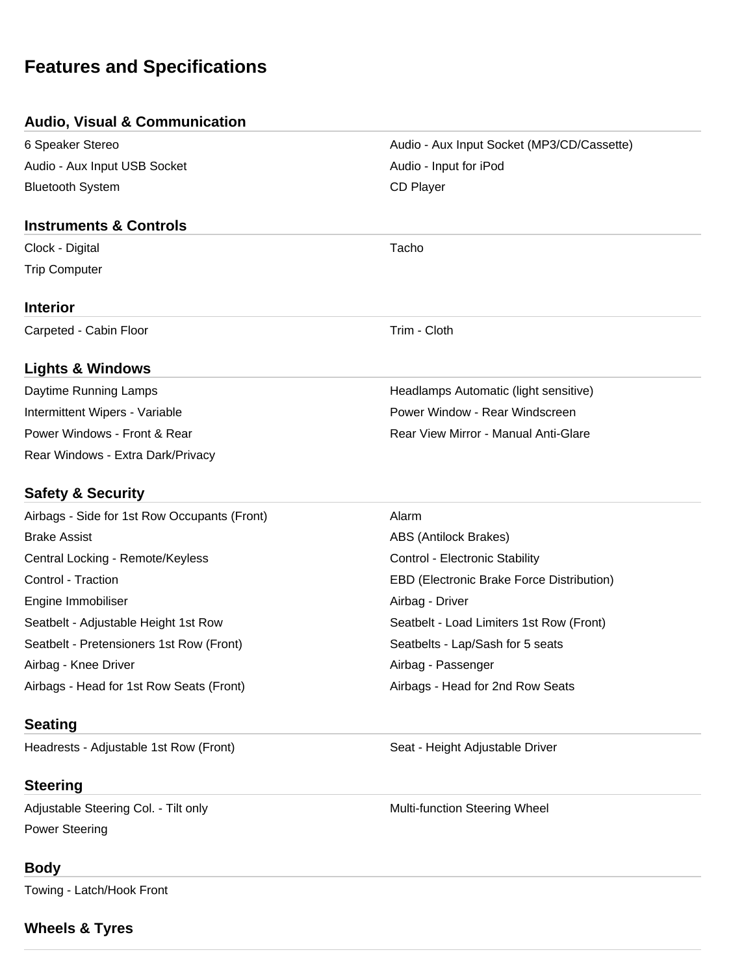# **Features and Specifications**

#### **Audio, Visual & Communication**

6 Speaker Stereo Audio - Aux Input Socket (MP3/CD/Cassette) Audio - Aux Input USB Socket Audio - Input for iPod Bluetooth System **CD** Player

#### **Instruments & Controls**

Clock - Digital Tacho Trip Computer

#### **Interior**

Carpeted - Cabin Floor Trim - Cloth

## **Lights & Windows**

Daytime Running Lamps **Headlamps Automatic (light sensitive)** Headlamps Automatic (light sensitive) Intermittent Wipers - Variable **Power Window - Rear Windscreen** Power Windows - Front & Rear **Rear Rear Rear View Mirror - Manual Anti-Glare** Rear Windows - Extra Dark/Privacy

## **Safety & Security**

Airbags - Side for 1st Row Occupants (Front) Alarm Brake Assist **ABS** (Antilock Brakes) Central Locking - Remote/Keyless Control - Electronic Stability Control - Traction EBD (Electronic Brake Force Distribution) Engine Immobiliser **Airbag - Driver** Airbag - Driver Seatbelt - Adjustable Height 1st Row Seatbelt - Load Limiters 1st Row (Front) Seatbelt - Pretensioners 1st Row (Front) Seatbelts - Lap/Sash for 5 seats Airbag - Knee Driver Airbag - Passenger Airbags - Head for 1st Row Seats (Front) Airbags - Head for 2nd Row Seats

## **Seating**

Headrests - Adjustable 1st Row (Front) Seat - Height Adjustable Driver

## **Steering**

Adjustable Steering Col. - Tilt only Multi-function Steering Wheel Power Steering

#### **Body**

Towing - Latch/Hook Front

## **Wheels & Tyres**